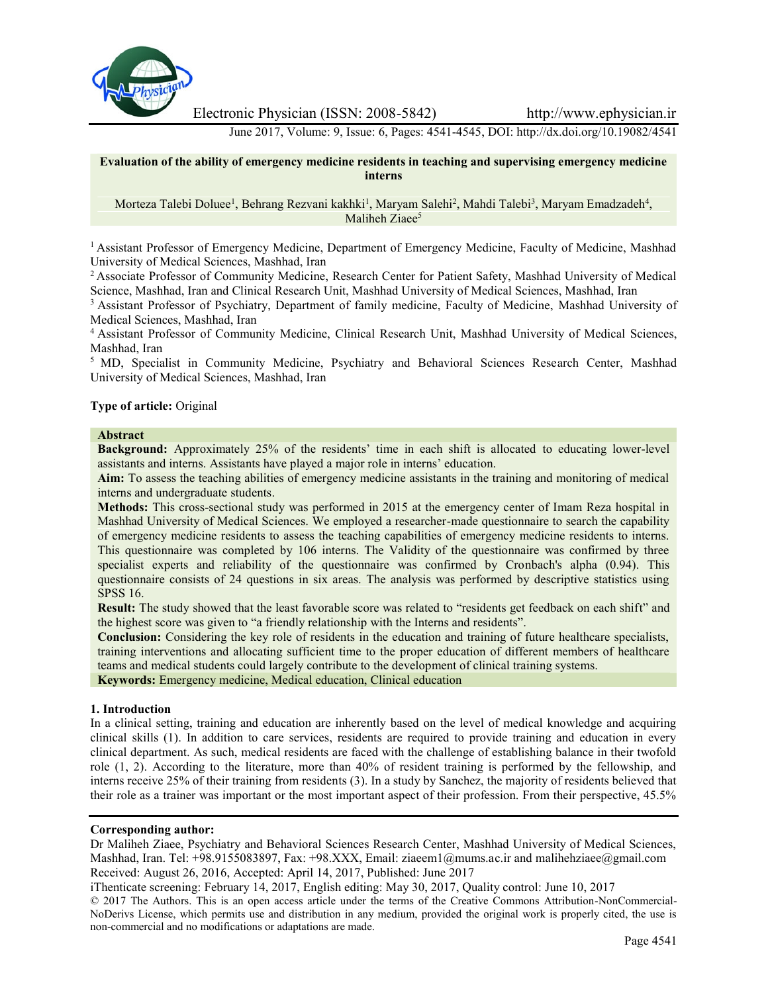

Electronic Physician (ISSN: 2008-5842) http://www.ephysician.ir

June 2017, Volume: 9, Issue: 6, Pages: 4541-4545, DOI: http://dx.doi.org/10.19082/4541

**Evaluation of the ability of emergency medicine residents in teaching and supervising emergency medicine interns**

Morteza Talebi Doluee<sup>1</sup>, Behrang Rezvani kakhki<sup>1</sup>, Maryam Salehi<sup>2</sup>, Mahdi Talebi<sup>3</sup>, Maryam Emadzadeh<sup>4</sup>, Maliheh Ziaee<sup>5</sup>

<sup>1</sup> Assistant Professor of Emergency Medicine, Department of Emergency Medicine, Faculty of Medicine, Mashhad University of Medical Sciences, Mashhad, Iran

<sup>2</sup> Associate Professor of Community Medicine, Research Center for Patient Safety, Mashhad University of Medical Science, Mashhad, Iran and Clinical Research Unit, Mashhad University of Medical Sciences, Mashhad, Iran

<sup>3</sup> Assistant Professor of Psychiatry, Department of family medicine, Faculty of Medicine, Mashhad University of Medical Sciences, Mashhad, Iran

<sup>4</sup> Assistant Professor of Community Medicine, Clinical Research Unit, Mashhad University of Medical Sciences, Mashhad, Iran

<sup>5</sup> MD, Specialist in Community Medicine, Psychiatry and Behavioral Sciences Research Center, Mashhad University of Medical Sciences, Mashhad, Iran

## **Type of article:** Original

# **Abstract**

**Background:** Approximately 25% of the residents' time in each shift is allocated to educating lower-level assistants and interns. Assistants have played a major role in interns' education.

**Aim:** To assess the teaching abilities of emergency medicine assistants in the training and monitoring of medical interns and undergraduate students.

**Methods:** This cross-sectional study was performed in 2015 at the emergency center of Imam Reza hospital in Mashhad University of Medical Sciences. We employed a researcher-made questionnaire to search the capability of emergency medicine residents to assess the teaching capabilities of emergency medicine residents to interns. This questionnaire was completed by 106 interns. The Validity of the questionnaire was confirmed by three specialist experts and reliability of the questionnaire was confirmed by Cronbach's alpha (0.94). This questionnaire consists of 24 questions in six areas. The analysis was performed by descriptive statistics using SPSS 16.

**Result:** The study showed that the least favorable score was related to "residents get feedback on each shift" and the highest score was given to "a friendly relationship with the Interns and residents".

**Conclusion:** Considering the key role of residents in the education and training of future healthcare specialists, training interventions and allocating sufficient time to the proper education of different members of healthcare teams and medical students could largely contribute to the development of clinical training systems.

**Keywords:** Emergency medicine, Medical education, Clinical education

## **1. Introduction**

In a clinical setting, training and education are inherently based on the level of medical knowledge and acquiring clinical skills (1). In addition to care services, residents are required to provide training and education in every clinical department. As such, medical residents are faced with the challenge of establishing balance in their twofold role (1, 2). According to the literature, more than 40% of resident training is performed by the fellowship, and interns receive 25% of their training from residents (3). In a study by Sanchez, the majority of residents believed that their role as a trainer was important or the most important aspect of their profession. From their perspective, 45.5%

## **Corresponding author:**

Dr Maliheh Ziaee, Psychiatry and Behavioral Sciences Research Center, Mashhad University of Medical Sciences, Mashhad, Iran. Tel: +98.9155083897, Fax: +98.XXX, Email: ziaeem1@mums.ac.ir and malihehziaee@gmail.com Received: August 26, 2016, Accepted: April 14, 2017, Published: June 2017

iThenticate screening: February 14, 2017, English editing: May 30, 2017, Quality control: June 10, 2017 © 2017 The Authors. This is an open access article under the terms of the Creative Commons Attribution-NonCommercial- NoDerivs License, which permits use and distribution in any medium, provided the original work is properly cited, the use is non-commercial and no modifications or adaptations are made.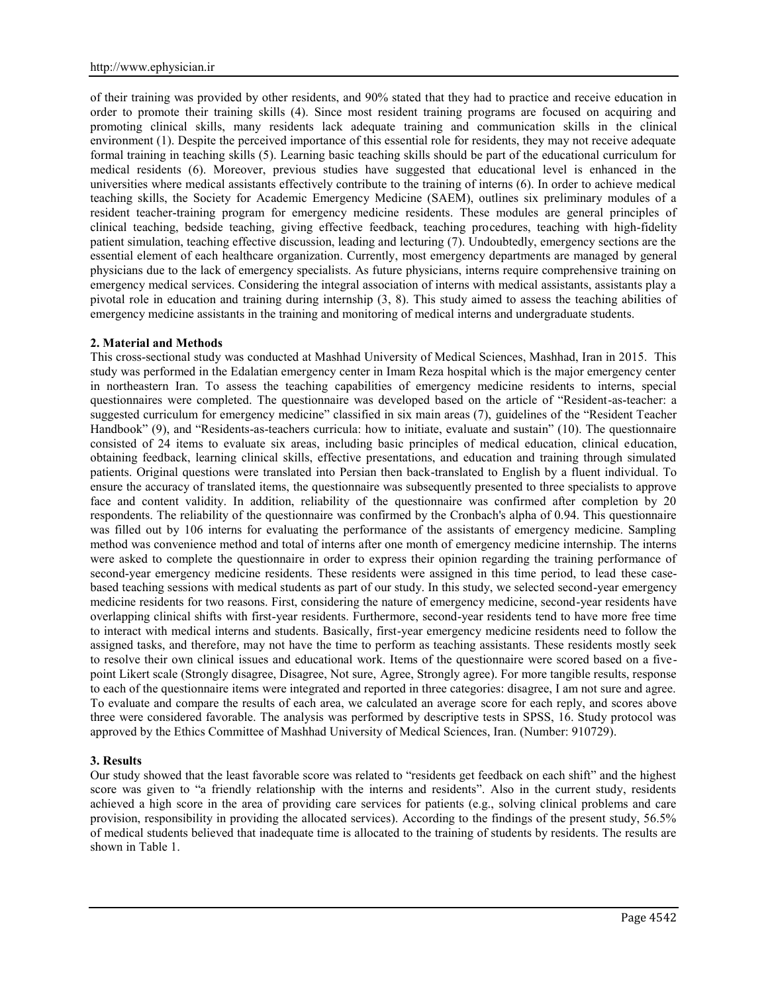of their training was provided by other residents, and 90% stated that they had to practice and receive education in order to promote their training skills (4). Since most resident training programs are focused on acquiring and promoting clinical skills, many residents lack adequate training and communication skills in the clinical environment (1). Despite the perceived importance of this essential role for residents, they may not receive adequate formal training in teaching skills (5). Learning basic teaching skills should be part of the educational curriculum for medical residents (6). Moreover, previous studies have suggested that educational level is enhanced in the universities where medical assistants effectively contribute to the training of interns (6). In order to achieve medical teaching skills, the Society for Academic Emergency Medicine (SAEM), outlines six preliminary modules of a resident teacher-training program for emergency medicine residents. These modules are general principles of clinical teaching, bedside teaching, giving effective feedback, teaching procedures, teaching with high-fidelity patient simulation, teaching effective discussion, leading and lecturing (7). Undoubtedly, emergency sections are the essential element of each healthcare organization. Currently, most emergency departments are managed by general physicians due to the lack of emergency specialists. As future physicians, interns require comprehensive training on emergency medical services. Considering the integral association of interns with medical assistants, assistants play a pivotal role in education and training during internship (3, 8). This study aimed to assess the teaching abilities of emergency medicine assistants in the training and monitoring of medical interns and undergraduate students.

#### **2. Material and Methods**

This cross-sectional study was conducted at Mashhad University of Medical Sciences, Mashhad, Iran in 2015. This study was performed in the Edalatian emergency center in Imam Reza hospital which is the major emergency center in northeastern Iran. To assess the teaching capabilities of emergency medicine residents to interns, special questionnaires were completed. The questionnaire was developed based on the article of "Resident-as-teacher: a suggested curriculum for emergency medicine" classified in six main areas (7), guidelines of the "Resident Teacher Handbook" (9), and "Residents-as-teachers curricula: how to initiate, evaluate and sustain" (10). The questionnaire consisted of 24 items to evaluate six areas, including basic principles of medical education, clinical education, obtaining feedback, learning clinical skills, effective presentations, and education and training through simulated patients. Original questions were translated into Persian then back-translated to English by a fluent individual. To ensure the accuracy of translated items, the questionnaire was subsequently presented to three specialists to approve face and content validity. In addition, reliability of the questionnaire was confirmed after completion by 20 respondents. The reliability of the questionnaire was confirmed by the Cronbach's alpha of 0.94. This questionnaire was filled out by 106 interns for evaluating the performance of the assistants of emergency medicine. Sampling method was convenience method and total of interns after one month of emergency medicine internship. The interns were asked to complete the questionnaire in order to express their opinion regarding the training performance of second-year emergency medicine residents. These residents were assigned in this time period, to lead these case based teaching sessions with medical students as part of our study. In this study, we selected second-year emergency medicine residents for two reasons. First, considering the nature of emergency medicine, second-year residents have overlapping clinical shifts with first-year residents. Furthermore, second-year residents tend to have more free time to interact with medical interns and students. Basically, first-year emergency medicine residents need to follow the assigned tasks, and therefore, may not have the time to perform as teaching assistants. These residents mostly seek to resolve their own clinical issues and educational work. Items of the questionnaire were scored based on a five point Likert scale (Strongly disagree, Disagree, Not sure, Agree, Strongly agree). For more tangible results, response to each of the questionnaire items were integrated and reported in three categories: disagree, I am not sure and agree. To evaluate and compare the results of each area, we calculated an average score for each reply, and scores above three were considered favorable. The analysis was performed by descriptive tests in SPSS, 16. Study protocol was approved by the Ethics Committee of Mashhad University of Medical Sciences, Iran. (Number: 910729).

#### **3. Results**

Our study showed that the least favorable score was related to "residents get feedback on each shift" and the highest score was given to "a friendly relationship with the interns and residents". Also in the current study, residents achieved a high score in the area of providing care services for patients (e.g., solving clinical problems and care provision, responsibility in providing the allocated services). According to the findings of the present study, 56.5% of medical students believed that inadequate time is allocated to the training of students by residents. The results are shown in Table 1.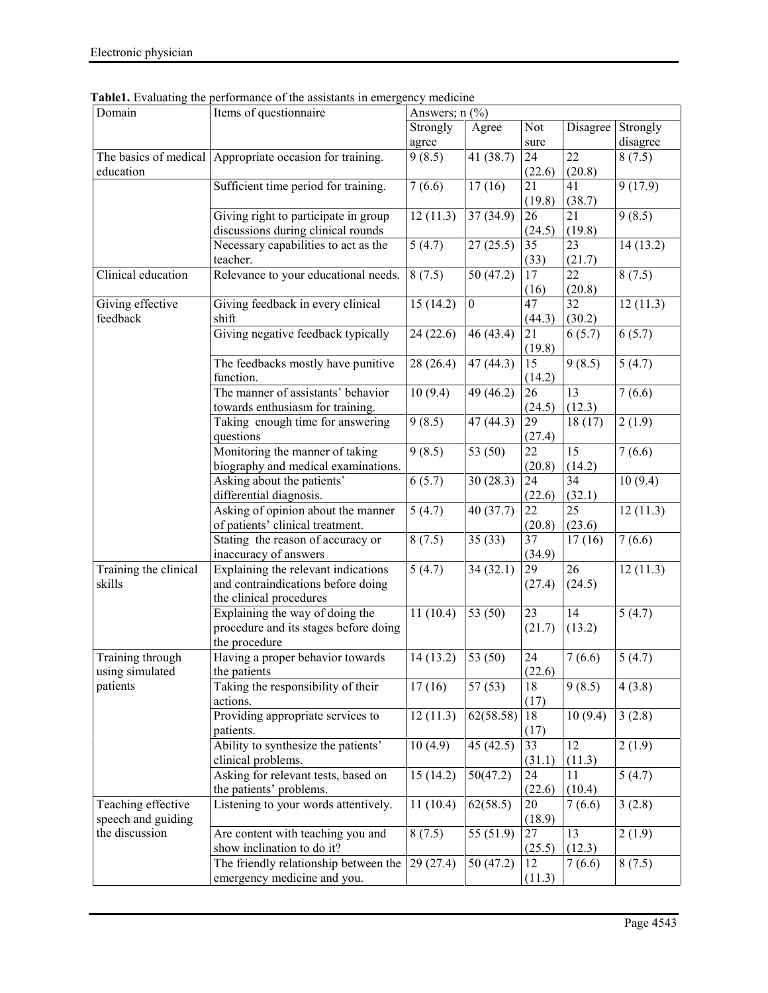| Domain                       | Items of questionnaire<br>Answers; $n$ $(\frac{6}{6})$   |                        |                  |            |          |          |
|------------------------------|----------------------------------------------------------|------------------------|------------------|------------|----------|----------|
|                              |                                                          | Strongly               | Agree            | <b>Not</b> | Disagree | Strongly |
|                              |                                                          | agree                  |                  | sure       |          | disagree |
|                              | The basics of medical Appropriate occasion for training. | 9(8.5)                 | 41 (38.7)        | 24         | 22       | 8(7.5)   |
| education                    |                                                          |                        |                  | (22.6)     | (20.8)   |          |
|                              | Sufficient time period for training.                     | 7(6.6)                 | 17(16)           | 21         | 41       | 9(17.9)  |
|                              |                                                          |                        |                  | (19.8)     | (38.7)   |          |
|                              | Giving right to participate in group                     | 12(11.3)               | 37(34.9)         | 26         | 21       | 9(8.5)   |
|                              | discussions during clinical rounds                       |                        |                  |            | (19.8)   |          |
|                              |                                                          |                        |                  | (24.5)     |          |          |
|                              | Necessary capabilities to act as the<br>teacher.         | 5(4.7)                 | 27(25.5)         | 35         | 23       | 14(13.2) |
|                              |                                                          |                        |                  | (33)       | (21.7)   |          |
| Clinical education           | Relevance to your educational needs.                     | 8(7.5)                 | 50(47.2)         | 17         | 22       | 8(7.5)   |
|                              |                                                          |                        |                  | (16)       | (20.8)   |          |
| Giving effective<br>feedback | Giving feedback in every clinical                        | $\overline{15}$ (14.2) | $\boldsymbol{0}$ | 47         | 32       | 12(11.3) |
|                              | shift                                                    |                        |                  | (44.3)     | (30.2)   |          |
|                              | Giving negative feedback typically                       | 24(22.6)               | 46(43.4)         | 21         | 6(5.7)   | 6(5.7)   |
|                              |                                                          |                        |                  | (19.8)     |          |          |
|                              | The feedbacks mostly have punitive                       | 28 (26.4)              | 47(44.3)         | 15         | 9(8.5)   | 5(4.7)   |
|                              | function.                                                |                        |                  | (14.2)     |          |          |
|                              | The manner of assistants' behavior                       | 10(9.4)                | 49 (46.2)        | 26         | 13       | 7(6.6)   |
|                              | towards enthusiasm for training.                         |                        |                  | (24.5)     | (12.3)   |          |
|                              | Taking enough time for answering                         | 9(8.5)                 | 47(44.3)         | 29         | 18(17)   | 2(1.9)   |
|                              | questions                                                |                        |                  | (27.4)     |          |          |
|                              | Monitoring the manner of taking                          | 9(8.5)                 | 53 (50)          | 22         | 15       | 7(6.6)   |
|                              | biography and medical examinations.                      |                        |                  | (20.8)     | (14.2)   |          |
|                              | Asking about the patients'                               | 6(5.7)                 | 30(28.3)         | 24         | 34       | 10(9.4)  |
|                              | differential diagnosis.                                  |                        |                  | (22.6)     | (32.1)   |          |
|                              | Asking of opinion about the manner                       | 5(4.7)                 | 40(37.7)         | 22         | 25       | 12(11.3) |
|                              | of patients' clinical treatment.                         |                        |                  | (20.8)     | (23.6)   |          |
|                              | Stating the reason of accuracy or                        | 8(7.5)                 | 35(33)           | 37         | 17(16)   | 7(6.6)   |
|                              | inaccuracy of answers                                    |                        |                  | (34.9)     |          |          |
| Training the clinical        | Explaining the relevant indications                      | 5(4.7)                 | 34(32.1)         | 29         | 26       | 12(11.3) |
| skills                       | and contraindications before doing                       |                        |                  | (27.4)     | (24.5)   |          |
|                              | the clinical procedures                                  |                        |                  |            |          |          |
|                              | Explaining the way of doing the                          | 11(10.4)               | 53 (50)          | 23         | 14       | 5(4.7)   |
|                              |                                                          |                        |                  | (21.7)     |          |          |
|                              | procedure and its stages before doing                    |                        |                  |            | (13.2)   |          |
|                              | the procedure                                            |                        |                  |            |          |          |
| Training through             | Having a proper behavior towards                         | 14(13.2)               | 53 (50)          | 24         | 7(6.6)   | 5(4.7)   |
| using simulated              | the patients                                             |                        |                  | (22.6)     |          |          |
| patients                     | Taking the responsibility of their                       | 17(16)                 | 57(53)           | 18         | 9(8.5)   | 4(3.8)   |
|                              | actions.                                                 |                        |                  | (17)       |          |          |
|                              | Providing appropriate services to                        | 12(11.3)               | 62(58.58)        | 18         | 10(9.4)  | 3(2.8)   |
|                              | patients.                                                |                        |                  | (17)       |          |          |
|                              | Ability to synthesize the patients'                      | 10(4.9)                | 45(42.5)         | 33         | 12       | 2(1.9)   |
|                              | clinical problems.                                       |                        |                  | (31.1)     | (11.3)   |          |
|                              | Asking for relevant tests, based on                      | 15(14.2)               | 50(47.2)         | 24         | 11       | 5(4.7)   |
|                              | the patients' problems.                                  |                        |                  | (22.6)     | (10.4)   |          |
| Teaching effective           | Listening to your words attentively.                     | 11(10.4)               | 62(58.5)         | 20         | 7(6.6)   | 3(2.8)   |
| speech and guiding           |                                                          |                        |                  | (18.9)     |          |          |
| the discussion               | Are content with teaching you and                        | 8(7.5)                 | 55 (51.9)        | 27         | 13       | 2(1.9)   |
|                              | show inclination to do it?                               |                        |                  | (25.5)     | (12.3)   |          |
|                              | The friendly relationship between the                    | 29(27.4)               | 50 (47.2)        | 12         | 7(6.6)   | 8(7.5)   |
|                              | emergency medicine and you.                              |                        |                  | (11.3)     |          |          |
|                              |                                                          |                        |                  |            |          |          |

**Table1.** Evaluating the performance of the assistants in emergency medicine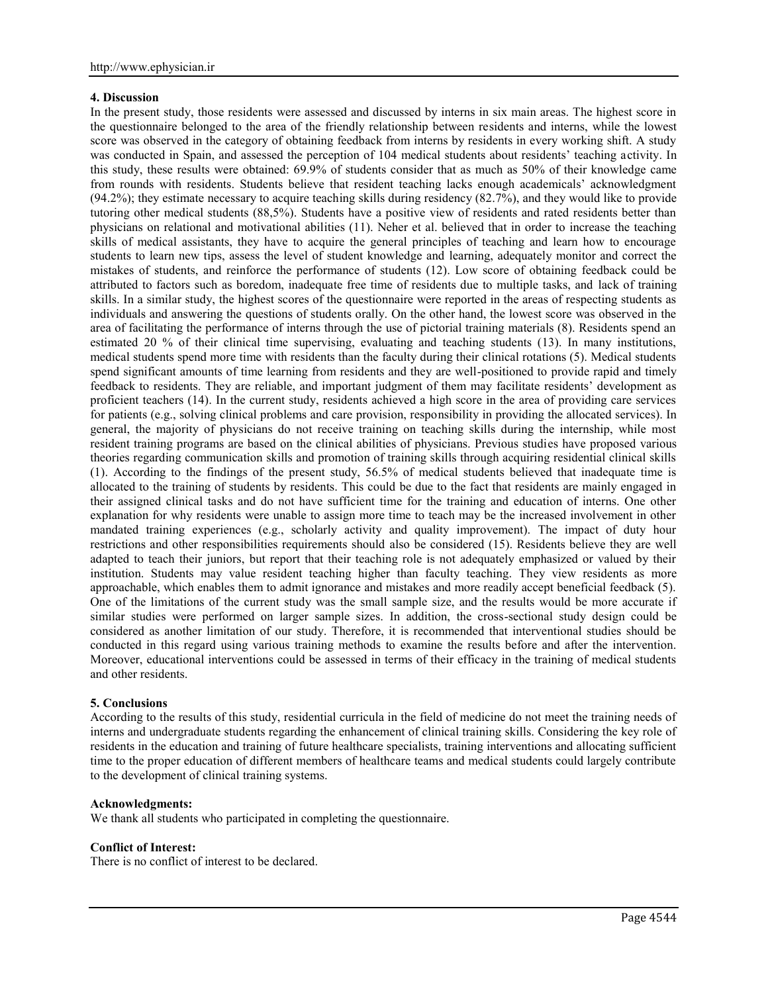## **4. Discussion**

In the present study, those residents were assessed and discussed by interns in six main areas. The highest score in the questionnaire belonged to the area of the friendly relationship between residents and interns, while the lowest score was observed in the category of obtaining feedback from interns by residents in every working shift. A study was conducted in Spain, and assessed the perception of 104 medical students about residents' teaching activity. In this study, these results were obtained: 69.9% of students consider that as much as 50% of their knowledge came from rounds with residents. Students believe that resident teaching lacks enough academicals' acknowledgment  $(94.2\%)$ ; they estimate necessary to acquire teaching skills during residency  $(82.7\%)$ , and they would like to provide tutoring other medical students (88,5%). Students have a positive view of residents and rated residents better than physicians on relational and motivational abilities (11). Neher et al. believed that in order to increase the teaching skills of medical assistants, they have to acquire the general principles of teaching and learn how to encourage students to learn new tips, assess the level of student knowledge and learning, adequately monitor and correct the mistakes of students, and reinforce the performance of students (12). Low score of obtaining feedback could be attributed to factors such as boredom, inadequate free time of residents due to multiple tasks, and lack of training skills. In a similar study, the highest scores of the questionnaire were reported in the areas of respecting students as individuals and answering the questions of students orally. On the other hand, the lowest score was observed in the area of facilitating the performance of interns through the use of pictorial training materials (8). Residents spend an estimated 20 % of their clinical time supervising, evaluating and teaching students (13). In many institutions, medical students spend more time with residents than the faculty during their clinical rotations (5). Medical students spend significant amounts of time learning from residents and they are well-positioned to provide rapid and timely feedback to residents. They are reliable, and important judgment of them may facilitate residents' development as proficient teachers (14). In the current study, residents achieved a high score in the area of providing care services for patients (e.g., solving clinical problems and care provision, responsibility in providing the allocated services). In general, the majority of physicians do not receive training on teaching skills during the internship, while most resident training programs are based on the clinical abilities of physicians. Previous studies have proposed various theories regarding communication skills and promotion of training skills through acquiring residential clinical skills (1). According to the findings of the present study, 56.5% of medical students believed that inadequate time is allocated to the training of students by residents. This could be due to the fact that residents are mainly engaged in their assigned clinical tasks and do not have sufficient time for the training and education of interns. One other explanation for why residents were unable to assign more time to teach may be the increased involvement in other mandated training experiences (e.g., scholarly activity and quality improvement). The impact of duty hour restrictions and other responsibilities requirements should also be considered (15). Residents believe they are well adapted to teach their juniors, but report that their teaching role is not adequately emphasized or valued by their institution. Students may value resident teaching higher than faculty teaching. They view residents as more approachable, which enables them to admit ignorance and mistakes and more readily accept beneficial feedback (5). One of the limitations of the current study was the small sample size, and the results would be more accurate if similar studies were performed on larger sample sizes. In addition, the cross-sectional study design could be considered as another limitation of our study. Therefore, it is recommended that interventional studies should be conducted in this regard using various training methods to examine the results before and after the intervention. Moreover, educational interventions could be assessed in terms of their efficacy in the training of medical students and other residents.

# **5. Conclusions**

According to the results of this study, residential curricula in the field of medicine do not meet the training needs of interns and undergraduate students regarding the enhancement of clinical training skills. Considering the key role of residents in the education and training of future healthcare specialists, training interventions and allocating sufficient time to the proper education of different members of healthcare teams and medical students could largely contribute to the development of clinical training systems.

### **Acknowledgments:**

We thank all students who participated in completing the questionnaire.

#### **Conflict of Interest:**

There is no conflict of interest to be declared.